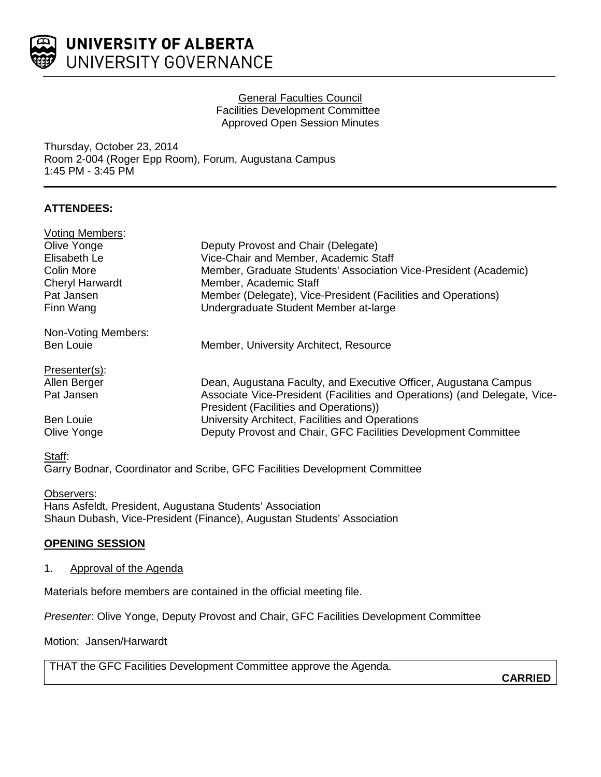

### General Faculties Council Facilities Development Committee Approved Open Session Minutes

Thursday, October 23, 2014 Room 2-004 (Roger Epp Room), Forum, Augustana Campus 1:45 PM - 3:45 PM

# **ATTENDEES:**

| <b>Voting Members:</b> |                                                                           |
|------------------------|---------------------------------------------------------------------------|
| Olive Yonge            | Deputy Provost and Chair (Delegate)                                       |
| Elisabeth Le           | Vice-Chair and Member, Academic Staff                                     |
| Colin More             | Member, Graduate Students' Association Vice-President (Academic)          |
| <b>Cheryl Harwardt</b> | Member, Academic Staff                                                    |
| Pat Jansen             | Member (Delegate), Vice-President (Facilities and Operations)             |
| Finn Wang              | Undergraduate Student Member at-large                                     |
| Non-Voting Members:    |                                                                           |
| <b>Ben Louie</b>       | Member, University Architect, Resource                                    |
| Presenter(s):          |                                                                           |
| Allen Berger           | Dean, Augustana Faculty, and Executive Officer, Augustana Campus          |
| Pat Jansen             | Associate Vice-President (Facilities and Operations) (and Delegate, Vice- |
|                        | President (Facilities and Operations))                                    |
| <b>Ben Louie</b>       | University Architect, Facilities and Operations                           |
| Olive Yonge            | Deputy Provost and Chair, GFC Facilities Development Committee            |
|                        |                                                                           |

#### Staff:

Garry Bodnar, Coordinator and Scribe, GFC Facilities Development Committee

Observers: Hans Asfeldt, President, Augustana Students' Association Shaun Dubash, Vice-President (Finance), Augustan Students' Association

## **OPENING SESSION**

## 1. Approval of the Agenda

Materials before members are contained in the official meeting file.

*Presenter*: Olive Yonge, Deputy Provost and Chair, GFC Facilities Development Committee

Motion: Jansen/Harwardt

THAT the GFC Facilities Development Committee approve the Agenda.

**CARRIED**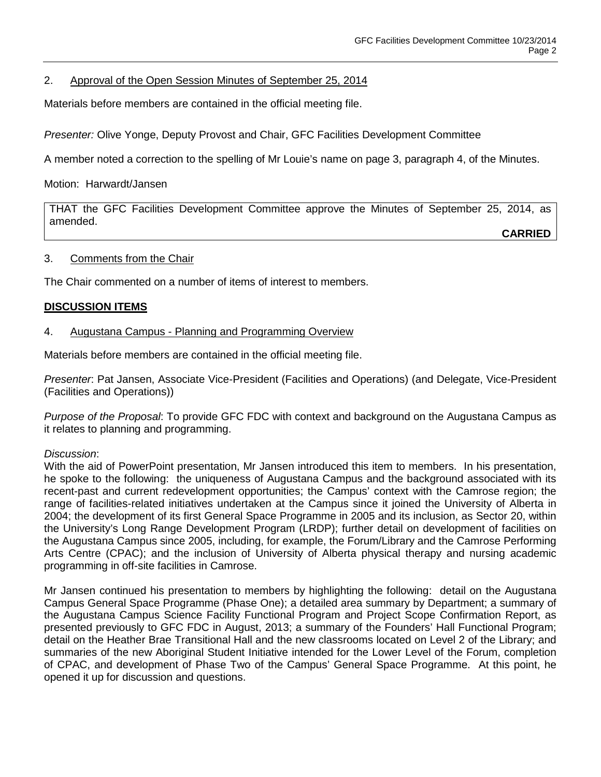## 2. Approval of the Open Session Minutes of September 25, 2014

Materials before members are contained in the official meeting file.

*Presenter:* Olive Yonge, Deputy Provost and Chair, GFC Facilities Development Committee

A member noted a correction to the spelling of Mr Louie's name on page 3, paragraph 4, of the Minutes.

Motion: Harwardt/Jansen

THAT the GFC Facilities Development Committee approve the Minutes of September 25, 2014, as amended.

**CARRIED**

### 3. Comments from the Chair

The Chair commented on a number of items of interest to members.

## **DISCUSSION ITEMS**

### 4. Augustana Campus - Planning and Programming Overview

Materials before members are contained in the official meeting file.

*Presenter*: Pat Jansen, Associate Vice-President (Facilities and Operations) (and Delegate, Vice-President (Facilities and Operations))

*Purpose of the Proposal*: To provide GFC FDC with context and background on the Augustana Campus as it relates to planning and programming.

#### *Discussion*:

With the aid of PowerPoint presentation, Mr Jansen introduced this item to members. In his presentation, he spoke to the following: the uniqueness of Augustana Campus and the background associated with its recent-past and current redevelopment opportunities; the Campus' context with the Camrose region; the range of facilities-related initiatives undertaken at the Campus since it joined the University of Alberta in 2004; the development of its first General Space Programme in 2005 and its inclusion, as Sector 20, within the University's Long Range Development Program (LRDP); further detail on development of facilities on the Augustana Campus since 2005, including, for example, the Forum/Library and the Camrose Performing Arts Centre (CPAC); and the inclusion of University of Alberta physical therapy and nursing academic programming in off-site facilities in Camrose.

Mr Jansen continued his presentation to members by highlighting the following: detail on the Augustana Campus General Space Programme (Phase One); a detailed area summary by Department; a summary of the Augustana Campus Science Facility Functional Program and Project Scope Confirmation Report, as presented previously to GFC FDC in August, 2013; a summary of the Founders' Hall Functional Program; detail on the Heather Brae Transitional Hall and the new classrooms located on Level 2 of the Library; and summaries of the new Aboriginal Student Initiative intended for the Lower Level of the Forum, completion of CPAC, and development of Phase Two of the Campus' General Space Programme. At this point, he opened it up for discussion and questions.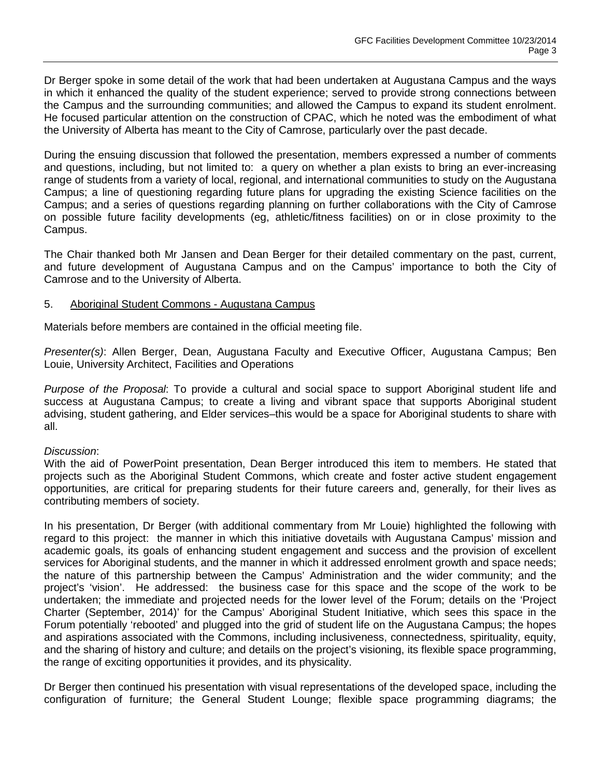Dr Berger spoke in some detail of the work that had been undertaken at Augustana Campus and the ways in which it enhanced the quality of the student experience; served to provide strong connections between the Campus and the surrounding communities; and allowed the Campus to expand its student enrolment. He focused particular attention on the construction of CPAC, which he noted was the embodiment of what the University of Alberta has meant to the City of Camrose, particularly over the past decade.

During the ensuing discussion that followed the presentation, members expressed a number of comments and questions, including, but not limited to: a query on whether a plan exists to bring an ever-increasing range of students from a variety of local, regional, and international communities to study on the Augustana Campus; a line of questioning regarding future plans for upgrading the existing Science facilities on the Campus; and a series of questions regarding planning on further collaborations with the City of Camrose on possible future facility developments (eg, athletic/fitness facilities) on or in close proximity to the Campus.

The Chair thanked both Mr Jansen and Dean Berger for their detailed commentary on the past, current, and future development of Augustana Campus and on the Campus' importance to both the City of Camrose and to the University of Alberta.

### 5. Aboriginal Student Commons - Augustana Campus

Materials before members are contained in the official meeting file.

*Presenter(s)*: Allen Berger, Dean, Augustana Faculty and Executive Officer, Augustana Campus; Ben Louie, University Architect, Facilities and Operations

*Purpose of the Proposal*: To provide a cultural and social space to support Aboriginal student life and success at Augustana Campus; to create a living and vibrant space that supports Aboriginal student advising, student gathering, and Elder services–this would be a space for Aboriginal students to share with all.

#### *Discussion*:

With the aid of PowerPoint presentation, Dean Berger introduced this item to members. He stated that projects such as the Aboriginal Student Commons, which create and foster active student engagement opportunities, are critical for preparing students for their future careers and, generally, for their lives as contributing members of society.

In his presentation, Dr Berger (with additional commentary from Mr Louie) highlighted the following with regard to this project: the manner in which this initiative dovetails with Augustana Campus' mission and academic goals, its goals of enhancing student engagement and success and the provision of excellent services for Aboriginal students, and the manner in which it addressed enrolment growth and space needs; the nature of this partnership between the Campus' Administration and the wider community; and the project's 'vision'. He addressed: the business case for this space and the scope of the work to be undertaken; the immediate and projected needs for the lower level of the Forum; details on the 'Project Charter (September, 2014)' for the Campus' Aboriginal Student Initiative, which sees this space in the Forum potentially 'rebooted' and plugged into the grid of student life on the Augustana Campus; the hopes and aspirations associated with the Commons, including inclusiveness, connectedness, spirituality, equity, and the sharing of history and culture; and details on the project's visioning, its flexible space programming, the range of exciting opportunities it provides, and its physicality.

Dr Berger then continued his presentation with visual representations of the developed space, including the configuration of furniture; the General Student Lounge; flexible space programming diagrams; the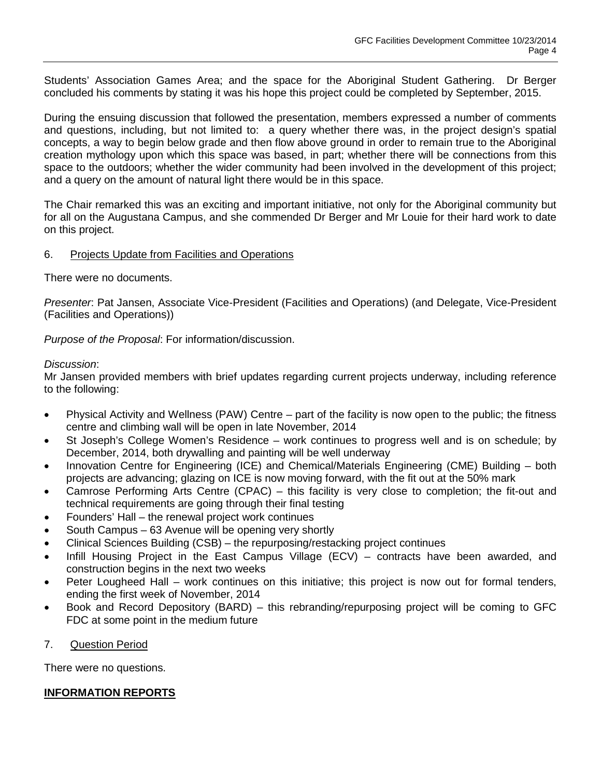Students' Association Games Area; and the space for the Aboriginal Student Gathering. Dr Berger concluded his comments by stating it was his hope this project could be completed by September, 2015.

During the ensuing discussion that followed the presentation, members expressed a number of comments and questions, including, but not limited to: a query whether there was, in the project design's spatial concepts, a way to begin below grade and then flow above ground in order to remain true to the Aboriginal creation mythology upon which this space was based, in part; whether there will be connections from this space to the outdoors; whether the wider community had been involved in the development of this project; and a query on the amount of natural light there would be in this space.

The Chair remarked this was an exciting and important initiative, not only for the Aboriginal community but for all on the Augustana Campus, and she commended Dr Berger and Mr Louie for their hard work to date on this project.

## 6. Projects Update from Facilities and Operations

There were no documents.

*Presenter*: Pat Jansen, Associate Vice-President (Facilities and Operations) (and Delegate, Vice-President (Facilities and Operations))

*Purpose of the Proposal*: For information/discussion.

#### *Discussion*:

Mr Jansen provided members with brief updates regarding current projects underway, including reference to the following:

- Physical Activity and Wellness (PAW) Centre part of the facility is now open to the public; the fitness centre and climbing wall will be open in late November, 2014
- St Joseph's College Women's Residence work continues to progress well and is on schedule; by December, 2014, both drywalling and painting will be well underway
- Innovation Centre for Engineering (ICE) and Chemical/Materials Engineering (CME) Building both projects are advancing; glazing on ICE is now moving forward, with the fit out at the 50% mark
- Camrose Performing Arts Centre (CPAC) this facility is very close to completion; the fit-out and technical requirements are going through their final testing
- Founders' Hall the renewal project work continues
- South Campus 63 Avenue will be opening very shortly
- Clinical Sciences Building (CSB) the repurposing/restacking project continues
- Infill Housing Project in the East Campus Village (ECV) contracts have been awarded, and construction begins in the next two weeks
- Peter Lougheed Hall work continues on this initiative; this project is now out for formal tenders, ending the first week of November, 2014
- Book and Record Depository (BARD) this rebranding/repurposing project will be coming to GFC FDC at some point in the medium future
- 7. Question Period

There were no questions.

## **INFORMATION REPORTS**